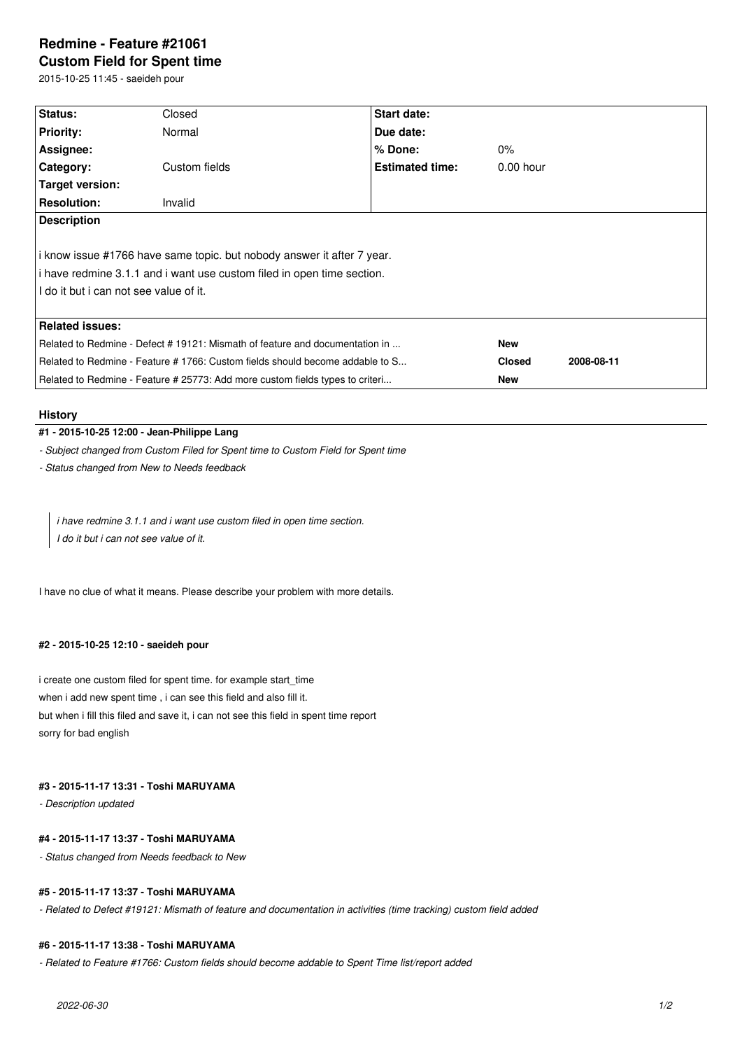# **Redmine - Feature #21061 Custom Field for Spent time**

2015-10-25 11:45 - saeideh pour

| Status:                                                                       | Closed        | <b>Start date:</b>     |               |            |
|-------------------------------------------------------------------------------|---------------|------------------------|---------------|------------|
| <b>Priority:</b>                                                              | Normal        | Due date:              |               |            |
| Assignee:                                                                     |               | $%$ Done:              | $0\%$         |            |
| Category:                                                                     | Custom fields | <b>Estimated time:</b> | $0.00$ hour   |            |
| Target version:                                                               |               |                        |               |            |
| <b>Resolution:</b>                                                            | Invalid       |                        |               |            |
| <b>Description</b>                                                            |               |                        |               |            |
|                                                                               |               |                        |               |            |
| i know issue #1766 have same topic. but nobody answer it after 7 year.        |               |                        |               |            |
| i have redmine 3.1.1 and i want use custom filed in open time section.        |               |                        |               |            |
| I do it but i can not see value of it.                                        |               |                        |               |            |
|                                                                               |               |                        |               |            |
| <b>Related issues:</b>                                                        |               |                        |               |            |
| Related to Redmine - Defect # 19121: Mismath of feature and documentation in  |               |                        | <b>New</b>    |            |
| Related to Redmine - Feature # 1766: Custom fields should become addable to S |               |                        | <b>Closed</b> | 2008-08-11 |
| Related to Redmine - Feature # 25773: Add more custom fields types to criteri |               |                        | <b>New</b>    |            |

# **History**

# **#1 - 2015-10-25 12:00 - Jean-Philippe Lang**

*- Subject changed from Custom Filed for Spent time to Custom Field for Spent time*

*- Status changed from New to Needs feedback*

*i have redmine 3.1.1 and i want use custom filed in open time section. I do it but i can not see value of it.*

I have no clue of what it means. Please describe your problem with more details.

# **#2 - 2015-10-25 12:10 - saeideh pour**

i create one custom filed for spent time. for example start\_time when i add new spent time , i can see this field and also fill it. but when i fill this filed and save it, i can not see this field in spent time report sorry for bad english

# **#3 - 2015-11-17 13:31 - Toshi MARUYAMA**

*- Description updated*

### **#4 - 2015-11-17 13:37 - Toshi MARUYAMA**

*- Status changed from Needs feedback to New*

# **#5 - 2015-11-17 13:37 - Toshi MARUYAMA**

*- Related to Defect #19121: Mismath of feature and documentation in activities (time tracking) custom field added*

#### **#6 - 2015-11-17 13:38 - Toshi MARUYAMA**

*- Related to Feature #1766: Custom fields should become addable to Spent Time list/report added*